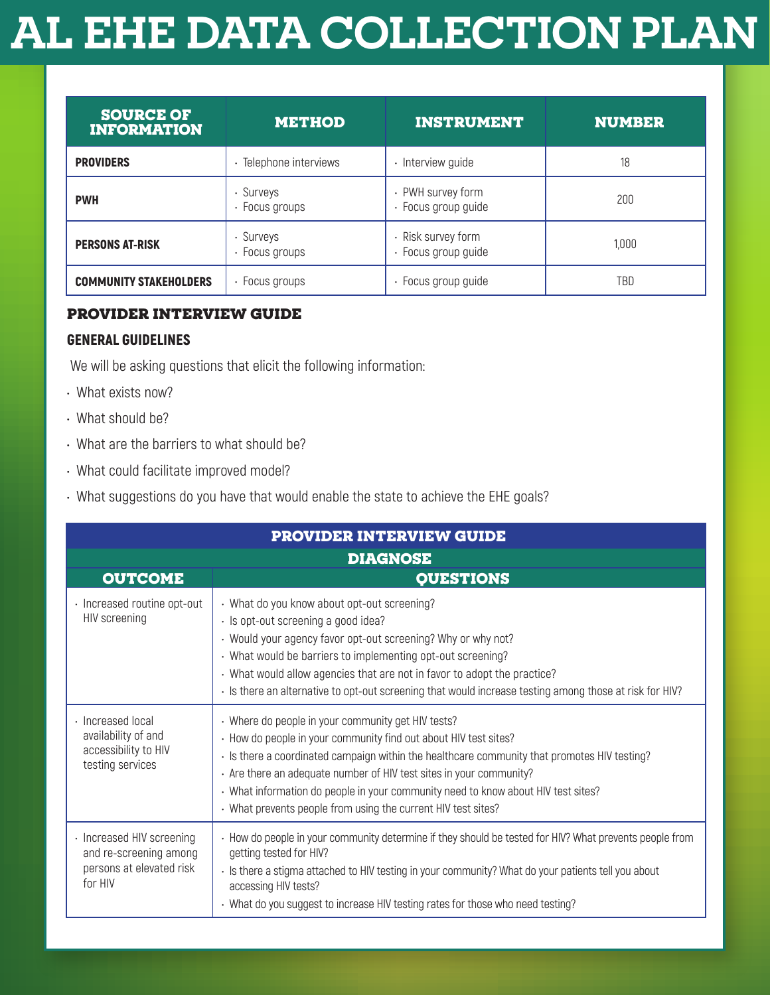## **AL EHE DATA COLLECTION PLAN**

| <b>SOURCE OF</b><br><b>INFORMATION</b> | <b>METHOD</b>               | <b>INSTRUMENT</b>                         | <b>NUMBER</b> |
|----------------------------------------|-----------------------------|-------------------------------------------|---------------|
| <b>PROVIDERS</b>                       | · Telephone interviews      | Interview guide                           | 18            |
| <b>PWH</b>                             | · Surveys<br>· Focus groups | · PWH survey form<br>· Focus group guide  | 200           |
| <b>PERSONS AT-RISK</b>                 | · Surveys<br>· Focus groups | · Risk survey form<br>· Focus group guide | 1,000         |
| <b>COMMUNITY STAKEHOLDERS</b>          | $\cdot$ Focus groups        | · Focus group guide                       | TBD           |

## **PROVIDER INTERVIEW GUIDE**

## GENERAL GUIDELINES

We will be asking questions that elicit the following information:

- What exists now?
- What should be?
- What are the barriers to what should be?
- What could facilitate improved model?
- What suggestions do you have that would enable the state to achieve the EHE goals?

| <b>PROVIDER INTERVIEW GUIDE</b>                                                            |                                                                                                                                                                                                                                                                                                                                                                                                                                                     |  |  |  |
|--------------------------------------------------------------------------------------------|-----------------------------------------------------------------------------------------------------------------------------------------------------------------------------------------------------------------------------------------------------------------------------------------------------------------------------------------------------------------------------------------------------------------------------------------------------|--|--|--|
| <b>DIAGNOSE</b>                                                                            |                                                                                                                                                                                                                                                                                                                                                                                                                                                     |  |  |  |
| <b>OUTCOME</b>                                                                             | <b>QUESTIONS</b>                                                                                                                                                                                                                                                                                                                                                                                                                                    |  |  |  |
| · Increased routine opt-out<br><b>HIV</b> screening                                        | · What do you know about opt-out screening?<br>· Is opt-out screening a good idea?<br>· Would your agency favor opt-out screening? Why or why not?<br>· What would be barriers to implementing opt-out screening?<br>· What would allow agencies that are not in favor to adopt the practice?<br>· Is there an alternative to opt-out screening that would increase testing among those at risk for HIV?                                            |  |  |  |
| · Increased local<br>availability of and<br>accessibility to HIV<br>testing services       | · Where do people in your community get HIV tests?<br>· How do people in your community find out about HIV test sites?<br>· Is there a coordinated campaign within the healthcare community that promotes HIV testing?<br>· Are there an adequate number of HIV test sites in your community?<br>· What information do people in your community need to know about HIV test sites?<br>· What prevents people from using the current HIV test sites? |  |  |  |
| · Increased HIV screening<br>and re-screening among<br>persons at elevated risk<br>for HIV | - How do people in your community determine if they should be tested for HIV? What prevents people from<br>getting tested for HIV?<br>· Is there a stigma attached to HIV testing in your community? What do your patients tell you about<br>accessing HIV tests?<br>· What do you suggest to increase HIV testing rates for those who need testing?                                                                                                |  |  |  |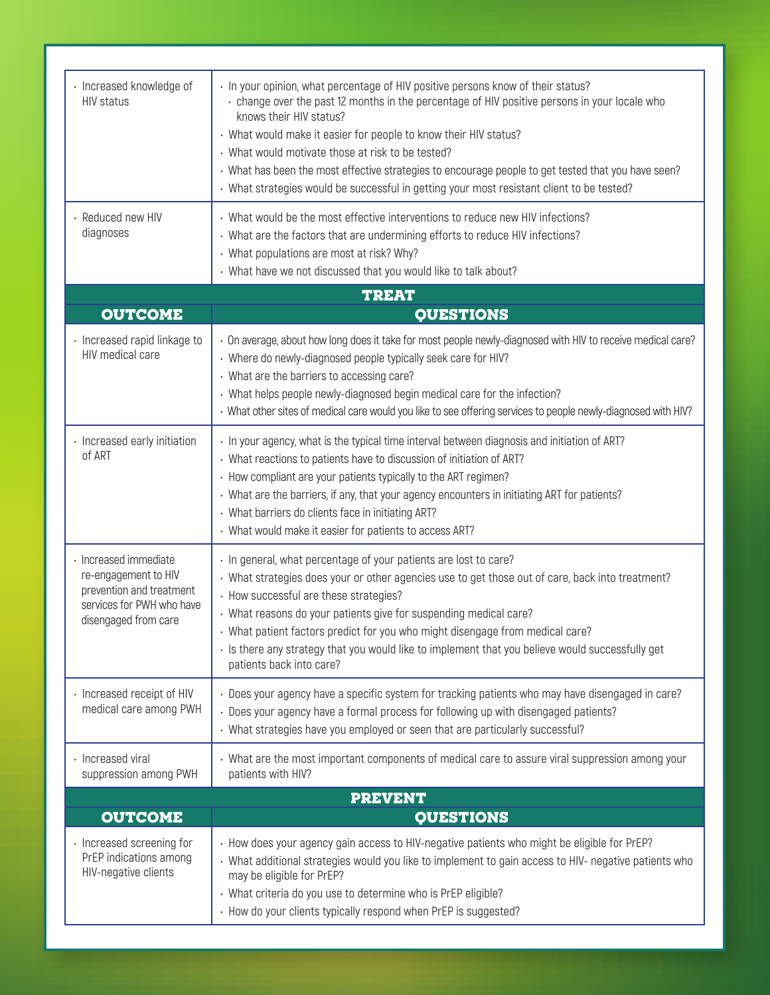| · Increased knowledge of<br><b>HIV status</b>                                                                                  | · In your opinion, what percentage of HIV positive persons know of their status?<br>· change over the past 12 months in the percentage of HIV positive persons in your locale who<br>knows their HIV status?<br>· What would make it easier for people to know their HIV status?<br>· What would motivate those at risk to be tested?<br>· What has been the most effective strategies to encourage people to get tested that you have seen?<br>· What strategies would be successful in getting your most resistant client to be tested? |  |  |  |
|--------------------------------------------------------------------------------------------------------------------------------|-------------------------------------------------------------------------------------------------------------------------------------------------------------------------------------------------------------------------------------------------------------------------------------------------------------------------------------------------------------------------------------------------------------------------------------------------------------------------------------------------------------------------------------------|--|--|--|
| · Reduced new HIV<br>diagnoses                                                                                                 | · What would be the most effective interventions to reduce new HIV infections?<br>· What are the factors that are undermining efforts to reduce HIV infections?<br>· What populations are most at risk? Why?<br>· What have we not discussed that you would like to talk about?                                                                                                                                                                                                                                                           |  |  |  |
| <b>TREAT</b><br><b>OUTCOME</b><br><b>QUESTIONS</b>                                                                             |                                                                                                                                                                                                                                                                                                                                                                                                                                                                                                                                           |  |  |  |
| · Increased rapid linkage to<br>HIV medical care                                                                               | · On average, about how long does it take for most people newly-diagnosed with HIV to receive medical care?<br>· Where do newly-diagnosed people typically seek care for HIV?<br>• What are the barriers to accessing care?<br>· What helps people newly-diagnosed begin medical care for the infection?<br>· What other sites of medical care would you like to see offering services to people newly-diagnosed with HIV?                                                                                                                |  |  |  |
| · Increased early initiation<br>of ART                                                                                         | · In your agency, what is the typical time interval between diagnosis and initiation of ART?<br>· What reactions to patients have to discussion of initiation of ART?<br>· How compliant are your patients typically to the ART regimen?<br>· What are the barriers, if any, that your agency encounters in initiating ART for patients?<br>· What barriers do clients face in initiating ART?<br>· What would make it easier for patients to access ART?                                                                                 |  |  |  |
| · Increased immediate<br>re-engagement to HIV<br>prevention and treatment<br>services for PWH who have<br>disengaged from care | · In general, what percentage of your patients are lost to care?<br>· What strategies does your or other agencies use to get those out of care, back into treatment?<br>· How successful are these strategies?<br>· What reasons do your patients give for suspending medical care?<br>· What patient factors predict for you who might disengage from medical care?<br>· Is there any strategy that you would like to implement that you believe would successfully get<br>patients back into care?                                      |  |  |  |
| · Increased receipt of HIV<br>medical care among PWH                                                                           | · Does your agency have a specific system for tracking patients who may have disengaged in care?<br>· Does your agency have a formal process for following up with disengaged patients?<br>· What strategies have you employed or seen that are particularly successful?                                                                                                                                                                                                                                                                  |  |  |  |
| · Increased viral<br>suppression among PWH                                                                                     | · What are the most important components of medical care to assure viral suppression among your<br>patients with HIV?                                                                                                                                                                                                                                                                                                                                                                                                                     |  |  |  |
|                                                                                                                                | <b>PREVENT</b>                                                                                                                                                                                                                                                                                                                                                                                                                                                                                                                            |  |  |  |
| <b>OUTCOME</b>                                                                                                                 | <b>QUESTIONS</b>                                                                                                                                                                                                                                                                                                                                                                                                                                                                                                                          |  |  |  |
| · Increased screening for<br>PrEP indications among<br>HIV-negative clients                                                    | · How does your agency gain access to HIV-negative patients who might be eligible for PrEP?<br>· What additional strategies would you like to implement to gain access to HIV- negative patients who<br>may be eligible for PrEP?<br>· What criteria do you use to determine who is PrEP eligible?<br>· How do your clients typically respond when PrEP is suggested?                                                                                                                                                                     |  |  |  |